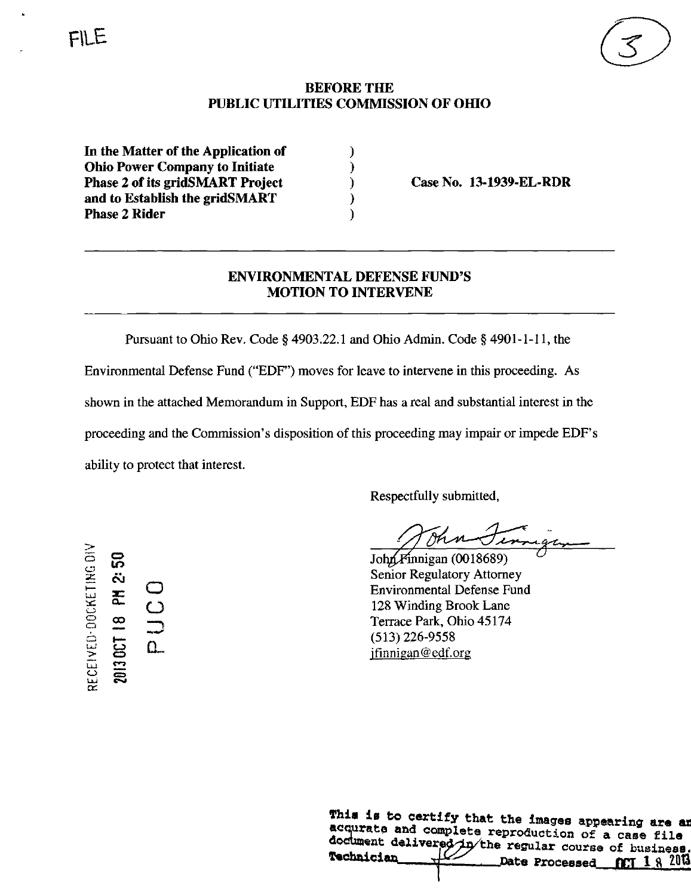## BEFORE THE PUBLIC UTILITIES COMMISSION OF OHIO

 $\lambda$  $\mathbf{\mathbf{)}$  $\lambda$  $\lambda$ )

In the Matter of the Application of Ohio Power Company to Initiate Phase 2 of its gridSMART Project and to Establish the gridSMART Phase 2 Rider

Case No. 13-1939-EL-RDR

## ENVIRONMENTAL DEFENSE FUND'S MOTION TO INTERVENE

Pursuant to Ohio Rev. Code § 4903.22.1 and Ohio Admin. Code § 4901-1-11, the Environmental Defense Fund ("EDF") moves for leave to intervene in this proceeding. As shown in the attached Memorandum in Support, EDF has a real and substantial interest in the proceeding and the Commission's disposition of this proceeding may impair or impede EDF's ability to protect that interest.

Respectfully submitted.

 $\frac{49}{\pi}$ 

 $John/F$ innigan (0018689) Senior Regulatory Attorney Environmental Defense Fund 128 Winding Brook Lane Terrace Park, Ohio 45174 (513)226-9558 [jfinnigan@edf.org](mailto:jfinnigan@edf.org) 

This is to certify that the images appearing are an acqurate and complete reproduction of a case file fechnician\_ document delivered in the regular course of business. Date Processed flTT  $1 \text{ } 8 \text{ } 2013$ 

o to **OUD**  $\qquad \qquad \Box$  $\Xi$ . SH 2:  $\overline{\mathbb{R}}$  o  $\mathbf{u}$   $\mathbf{m}$ U J CN J

 $\simeq$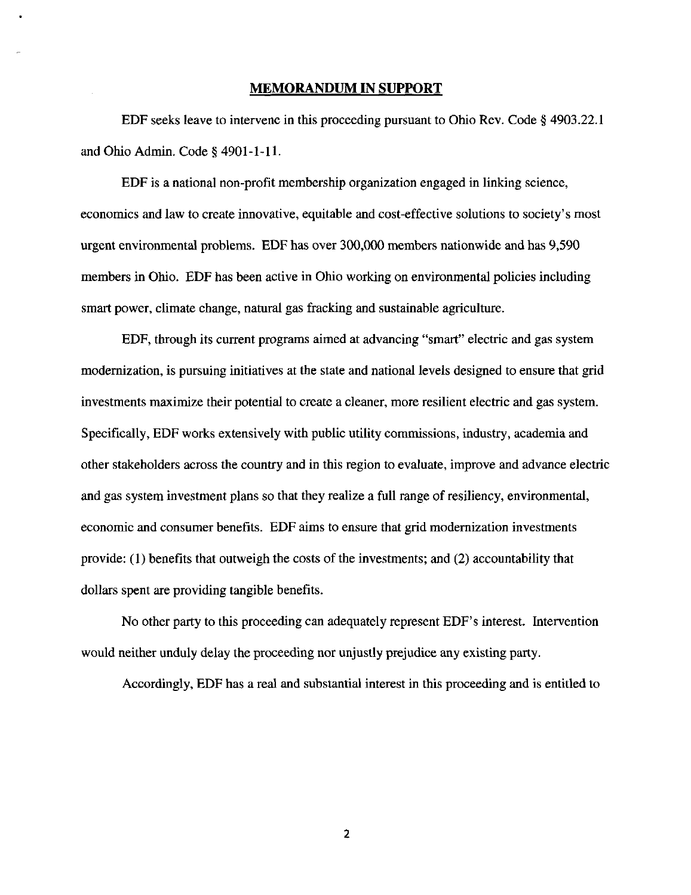## MEMORANDUM IN SUPPORT

EDF seeks leave to intervene in this proceeding pursuant to Ohio Rev. Code § 4903.22.1 and Ohio Admin. Code § 4901-1-11.

EDF is a national non-profit membership organization engaged in linking science, economics and law to create innovative, equitable and cost-effective solutions to society's most urgent environmental problems. EDF has over 300,000 members nationwide and has 9,590 members in Ohio. EDF has been active in Ohio working on environmental policies including smart power, climate change, natural gas fracking and sustainable agriculture.

EDF, through its current programs aimed at advancing "smart" electric and gas system modernization, is pursuing initiatives at the state and national levels designed to ensure that grid investments maximize their potential to create a cleaner, more resilient electric and gas system. Specifically, EDF works extensively with public utility commissions, industry, academia and other stakeholders across the country and in this region to evaluate, improve and advance electric and gas system investment plans so that they realize a full range of resiliency, environmental, economic and consumer benefits. EDF aims to ensure that grid modernization investments provide: (1) benefits that outweigh the costs of the investments; and (2) accountability that dollars spent are providing tangible benefits.

No other party to this proceeding can adequately represent EDF's interest. Intervention would neither unduly delay the proceeding nor unjustly prejudice any existing party.

Accordingly, EDF has a real and substantial interest in this proceeding and is entitled to

 $\overline{\mathbf{z}}$